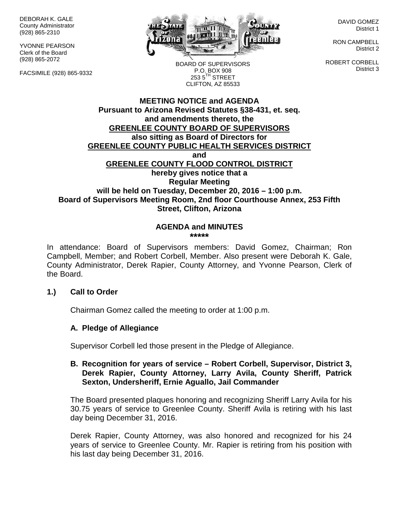DEBORAH K. GALE County Administrator (928) 865-2310

YVONNE PEARSON Clerk of the Board (928) 865-2072

FACSIMILE (928) 865-9332



DAVID GOMEZ District 1

RON CAMPBELL District 2

ROBERT CORBELL District 3

BOARD OF SUPERVISORS P.O. BOX 908  $253.5$ <sup>TH</sup> STREET CLIFTON, AZ 85533

### **MEETING NOTICE and AGENDA Pursuant to Arizona Revised Statutes §38-431, et. seq. and amendments thereto, the GREENLEE COUNTY BOARD OF SUPERVISORS also sitting as Board of Directors for GREENLEE COUNTY PUBLIC HEALTH SERVICES DISTRICT and GREENLEE COUNTY FLOOD CONTROL DISTRICT hereby gives notice that a Regular Meeting will be held on Tuesday, December 20, 2016 – 1:00 p.m. Board of Supervisors Meeting Room, 2nd floor Courthouse Annex, 253 Fifth Street, Clifton, Arizona**

#### **AGENDA and MINUTES \*\*\*\*\***

In attendance: Board of Supervisors members: David Gomez, Chairman; Ron Campbell, Member; and Robert Corbell, Member. Also present were Deborah K. Gale, County Administrator, Derek Rapier, County Attorney, and Yvonne Pearson, Clerk of the Board.

### **1.) Call to Order**

Chairman Gomez called the meeting to order at 1:00 p.m.

### **A. Pledge of Allegiance**

Supervisor Corbell led those present in the Pledge of Allegiance.

#### **B. Recognition for years of service – Robert Corbell, Supervisor, District 3, Derek Rapier, County Attorney, Larry Avila, County Sheriff, Patrick Sexton, Undersheriff, Ernie Aguallo, Jail Commander**

The Board presented plaques honoring and recognizing Sheriff Larry Avila for his 30.75 years of service to Greenlee County. Sheriff Avila is retiring with his last day being December 31, 2016.

Derek Rapier, County Attorney, was also honored and recognized for his 24 years of service to Greenlee County. Mr. Rapier is retiring from his position with his last day being December 31, 2016.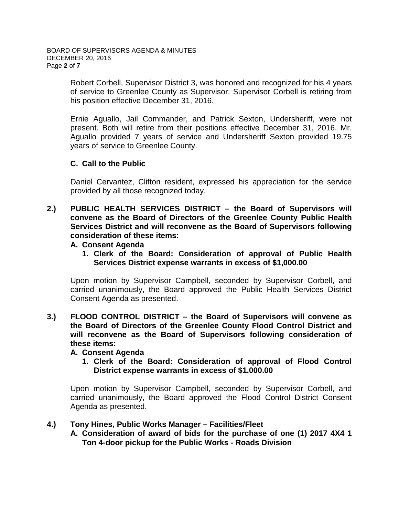Robert Corbell, Supervisor District 3, was honored and recognized for his 4 years of service to Greenlee County as Supervisor. Supervisor Corbell is retiring from his position effective December 31, 2016.

Ernie Aguallo, Jail Commander, and Patrick Sexton, Undersheriff, were not present. Both will retire from their positions effective December 31, 2016. Mr. Aguallo provided 7 years of service and Undersheriff Sexton provided 19.75 years of service to Greenlee County.

# **C. Call to the Public**

Daniel Cervantez, Clifton resident, expressed his appreciation for the service provided by all those recognized today.

**2.) PUBLIC HEALTH SERVICES DISTRICT – the Board of Supervisors will convene as the Board of Directors of the Greenlee County Public Health Services District and will reconvene as the Board of Supervisors following consideration of these items:**

#### **A. Consent Agenda**

**1. Clerk of the Board: Consideration of approval of Public Health Services District expense warrants in excess of \$1,000.00**

Upon motion by Supervisor Campbell, seconded by Supervisor Corbell, and carried unanimously, the Board approved the Public Health Services District Consent Agenda as presented.

**3.) FLOOD CONTROL DISTRICT – the Board of Supervisors will convene as the Board of Directors of the Greenlee County Flood Control District and will reconvene as the Board of Supervisors following consideration of these items:**

### **A. Consent Agenda**

**1. Clerk of the Board: Consideration of approval of Flood Control District expense warrants in excess of \$1,000.00**

Upon motion by Supervisor Campbell, seconded by Supervisor Corbell, and carried unanimously, the Board approved the Flood Control District Consent Agenda as presented.

### **4.) Tony Hines, Public Works Manager – Facilities/Fleet**

**A. Consideration of award of bids for the purchase of one (1) 2017 4X4 1 Ton 4-door pickup for the Public Works - Roads Division**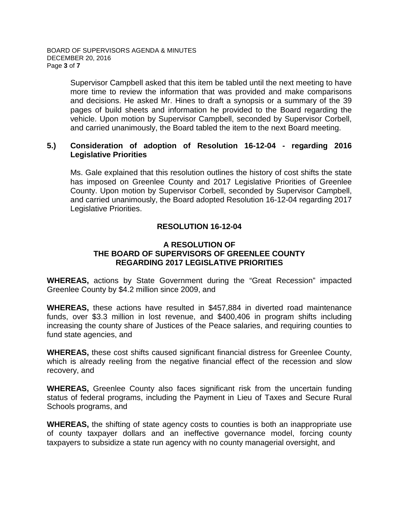Supervisor Campbell asked that this item be tabled until the next meeting to have more time to review the information that was provided and make comparisons and decisions. He asked Mr. Hines to draft a synopsis or a summary of the 39 pages of build sheets and information he provided to the Board regarding the vehicle. Upon motion by Supervisor Campbell, seconded by Supervisor Corbell, and carried unanimously, the Board tabled the item to the next Board meeting.

#### **5.) Consideration of adoption of Resolution 16-12-04 - regarding 2016 Legislative Priorities**

Ms. Gale explained that this resolution outlines the history of cost shifts the state has imposed on Greenlee County and 2017 Legislative Priorities of Greenlee County. Upon motion by Supervisor Corbell, seconded by Supervisor Campbell, and carried unanimously, the Board adopted Resolution 16-12-04 regarding 2017 Legislative Priorities.

### **RESOLUTION 16-12-04**

### **A RESOLUTION OF THE BOARD OF SUPERVISORS OF GREENLEE COUNTY REGARDING 2017 LEGISLATIVE PRIORITIES**

**WHEREAS,** actions by State Government during the "Great Recession" impacted Greenlee County by \$4.2 million since 2009, and

**WHEREAS,** these actions have resulted in \$457,884 in diverted road maintenance funds, over \$3.3 million in lost revenue, and \$400,406 in program shifts including increasing the county share of Justices of the Peace salaries, and requiring counties to fund state agencies, and

**WHEREAS,** these cost shifts caused significant financial distress for Greenlee County, which is already reeling from the negative financial effect of the recession and slow recovery, and

**WHEREAS,** Greenlee County also faces significant risk from the uncertain funding status of federal programs, including the Payment in Lieu of Taxes and Secure Rural Schools programs, and

**WHEREAS,** the shifting of state agency costs to counties is both an inappropriate use of county taxpayer dollars and an ineffective governance model, forcing county taxpayers to subsidize a state run agency with no county managerial oversight, and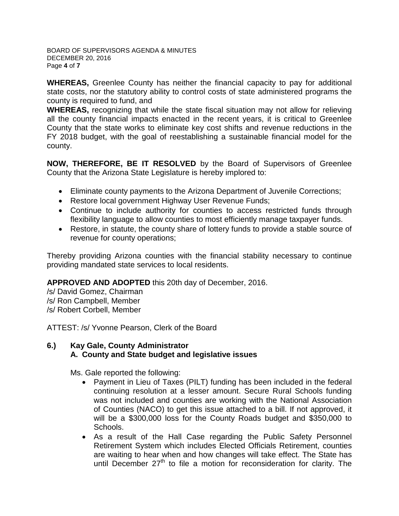BOARD OF SUPERVISORS AGENDA & MINUTES DECEMBER 20, 2016 Page **4** of **7**

**WHEREAS,** Greenlee County has neither the financial capacity to pay for additional state costs, nor the statutory ability to control costs of state administered programs the county is required to fund, and

**WHEREAS,** recognizing that while the state fiscal situation may not allow for relieving all the county financial impacts enacted in the recent years, it is critical to Greenlee County that the state works to eliminate key cost shifts and revenue reductions in the FY 2018 budget, with the goal of reestablishing a sustainable financial model for the county.

**NOW, THEREFORE, BE IT RESOLVED** by the Board of Supervisors of Greenlee County that the Arizona State Legislature is hereby implored to:

- Eliminate county payments to the Arizona Department of Juvenile Corrections;
- Restore local government Highway User Revenue Funds;
- Continue to include authority for counties to access restricted funds through flexibility language to allow counties to most efficiently manage taxpayer funds.
- Restore, in statute, the county share of lottery funds to provide a stable source of revenue for county operations;

Thereby providing Arizona counties with the financial stability necessary to continue providing mandated state services to local residents.

**APPROVED AND ADOPTED** this 20th day of December, 2016.

/s/ David Gomez, Chairman /s/ Ron Campbell, Member /s/ Robert Corbell, Member

ATTEST: /s/ Yvonne Pearson, Clerk of the Board

### **6.) Kay Gale, County Administrator A. County and State budget and legislative issues**

Ms. Gale reported the following:

- Payment in Lieu of Taxes (PILT) funding has been included in the federal continuing resolution at a lesser amount. Secure Rural Schools funding was not included and counties are working with the National Association of Counties (NACO) to get this issue attached to a bill. If not approved, it will be a \$300,000 loss for the County Roads budget and \$350,000 to Schools.
- As a result of the Hall Case regarding the Public Safety Personnel Retirement System which includes Elected Officials Retirement, counties are waiting to hear when and how changes will take effect. The State has until December 27<sup>th</sup> to file a motion for reconsideration for clarity. The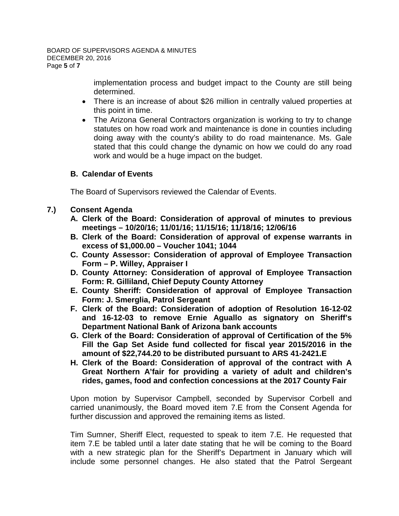implementation process and budget impact to the County are still being determined.

- There is an increase of about \$26 million in centrally valued properties at this point in time.
- The Arizona General Contractors organization is working to try to change statutes on how road work and maintenance is done in counties including doing away with the county's ability to do road maintenance. Ms. Gale stated that this could change the dynamic on how we could do any road work and would be a huge impact on the budget.

# **B. Calendar of Events**

The Board of Supervisors reviewed the Calendar of Events.

# **7.) Consent Agenda**

- **A. Clerk of the Board: Consideration of approval of minutes to previous meetings – 10/20/16; 11/01/16; 11/15/16; 11/18/16; 12/06/16**
- **B. Clerk of the Board: Consideration of approval of expense warrants in excess of \$1,000.00 – Voucher 1041; 1044**
- **C. County Assessor: Consideration of approval of Employee Transaction Form – P. Willey, Appraiser I**
- **D. County Attorney: Consideration of approval of Employee Transaction Form: R. Gilliland, Chief Deputy County Attorney**
- **E. County Sheriff: Consideration of approval of Employee Transaction Form: J. Smerglia, Patrol Sergeant**
- **F. Clerk of the Board: Consideration of adoption of Resolution 16-12-02 and 16-12-03 to remove Ernie Aguallo as signatory on Sheriff's Department National Bank of Arizona bank accounts**
- **G. Clerk of the Board: Consideration of approval of Certification of the 5% Fill the Gap Set Aside fund collected for fiscal year 2015/2016 in the amount of \$22,744.20 to be distributed pursuant to ARS 41-2421.E**
- **H. Clerk of the Board: Consideration of approval of the contract with A Great Northern A'fair for providing a variety of adult and children's rides, games, food and confection concessions at the 2017 County Fair**

Upon motion by Supervisor Campbell, seconded by Supervisor Corbell and carried unanimously, the Board moved item 7.E from the Consent Agenda for further discussion and approved the remaining items as listed.

Tim Sumner, Sheriff Elect, requested to speak to item 7.E. He requested that item 7.E be tabled until a later date stating that he will be coming to the Board with a new strategic plan for the Sheriff's Department in January which will include some personnel changes. He also stated that the Patrol Sergeant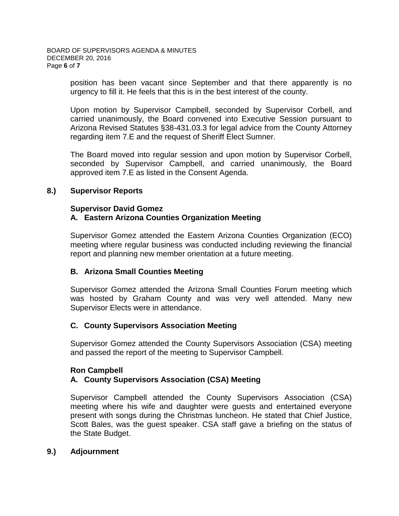position has been vacant since September and that there apparently is no urgency to fill it. He feels that this is in the best interest of the county.

Upon motion by Supervisor Campbell, seconded by Supervisor Corbell, and carried unanimously, the Board convened into Executive Session pursuant to Arizona Revised Statutes §38-431.03.3 for legal advice from the County Attorney regarding item 7.E and the request of Sheriff Elect Sumner.

The Board moved into regular session and upon motion by Supervisor Corbell, seconded by Supervisor Campbell, and carried unanimously, the Board approved item 7.E as listed in the Consent Agenda.

# **8.) Supervisor Reports**

#### **Supervisor David Gomez A. Eastern Arizona Counties Organization Meeting**

Supervisor Gomez attended the Eastern Arizona Counties Organization (ECO) meeting where regular business was conducted including reviewing the financial report and planning new member orientation at a future meeting.

### **B. Arizona Small Counties Meeting**

Supervisor Gomez attended the Arizona Small Counties Forum meeting which was hosted by Graham County and was very well attended. Many new Supervisor Elects were in attendance.

### **C. County Supervisors Association Meeting**

Supervisor Gomez attended the County Supervisors Association (CSA) meeting and passed the report of the meeting to Supervisor Campbell.

# **Ron Campbell**

# **A. County Supervisors Association (CSA) Meeting**

Supervisor Campbell attended the County Supervisors Association (CSA) meeting where his wife and daughter were guests and entertained everyone present with songs during the Christmas luncheon. He stated that Chief Justice, Scott Bales, was the guest speaker. CSA staff gave a briefing on the status of the State Budget.

### **9.) Adjournment**